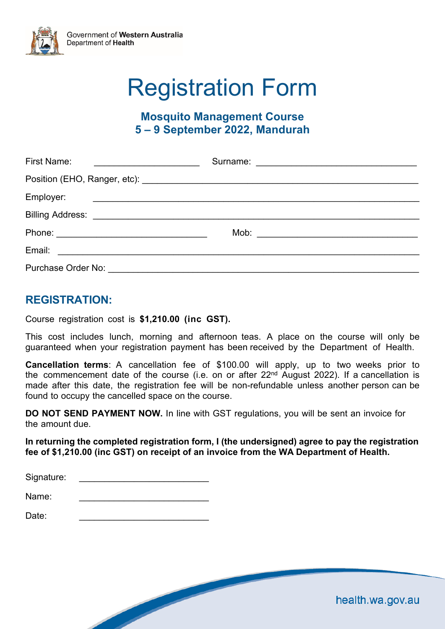

# Registration Form

## **Mosquito Management Course 5 – 9 September 2022, Mandurah**

| <b>First Name:</b>                 | Surname: <u>_______________________________</u> |  |
|------------------------------------|-------------------------------------------------|--|
|                                    |                                                 |  |
| Employer:                          |                                                 |  |
|                                    |                                                 |  |
|                                    |                                                 |  |
| Email:                             |                                                 |  |
| Purchase Order No: _______________ |                                                 |  |

### **REGISTRATION:**

Course registration cost is **\$1,210.00 (inc GST).** 

This cost includes lunch, morning and afternoon teas. A place on the course will only be guaranteed when your registration payment has been received by the Department of Health.

**Cancellation terms**: A cancellation fee of \$100.00 will apply, up to two weeks prior to the commencement date of the course (i.e. on or after  $22<sup>nd</sup>$  August 2022). If a cancellation is made after this date, the registration fee will be non-refundable unless another person can be found to occupy the cancelled space on the course.

**DO NOT SEND PAYMENT NOW.** In line with GST regulations, you will be sent an invoice for the amount due.

**In returning the completed registration form, I (the undersigned) agree to pay the registration fee of \$1,210.00 (inc GST) on receipt of an invoice from the WA Department of Health.** 

| Signature: |  |  |  |  |
|------------|--|--|--|--|
|            |  |  |  |  |

Name<sup>.</sup>

Date: \_\_\_\_\_\_\_\_\_\_\_\_\_\_\_\_\_\_\_\_\_\_\_\_\_\_